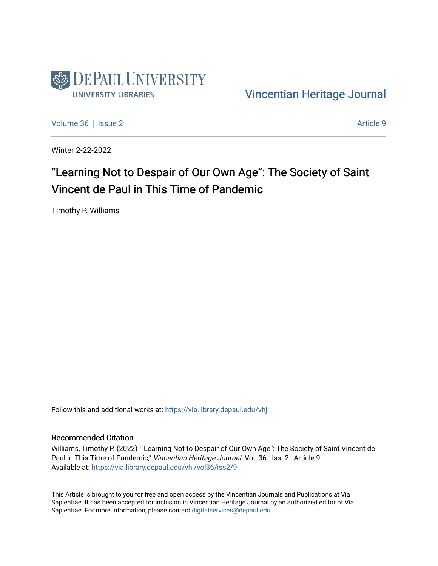

[Vincentian Heritage Journal](https://via.library.depaul.edu/vhj) 

[Volume 36](https://via.library.depaul.edu/vhj/vol36) | [Issue 2](https://via.library.depaul.edu/vhj/vol36/iss2) Article 9

Winter 2-22-2022

# "Learning Not to Despair of Our Own Age": The Society of Saint Vincent de Paul in This Time of Pandemic

Timothy P. Williams

Follow this and additional works at: [https://via.library.depaul.edu/vhj](https://via.library.depaul.edu/vhj?utm_source=via.library.depaul.edu%2Fvhj%2Fvol36%2Fiss2%2F9&utm_medium=PDF&utm_campaign=PDFCoverPages) 

#### Recommended Citation

Williams, Timothy P. (2022) ""Learning Not to Despair of Our Own Age": The Society of Saint Vincent de Paul in This Time of Pandemic," Vincentian Heritage Journal: Vol. 36 : Iss. 2 , Article 9. Available at: [https://via.library.depaul.edu/vhj/vol36/iss2/9](https://via.library.depaul.edu/vhj/vol36/iss2/9?utm_source=via.library.depaul.edu%2Fvhj%2Fvol36%2Fiss2%2F9&utm_medium=PDF&utm_campaign=PDFCoverPages) 

This Article is brought to you for free and open access by the Vincentian Journals and Publications at Via Sapientiae. It has been accepted for inclusion in Vincentian Heritage Journal by an authorized editor of Via Sapientiae. For more information, please contact [digitalservices@depaul.edu](mailto:digitalservices@depaul.edu).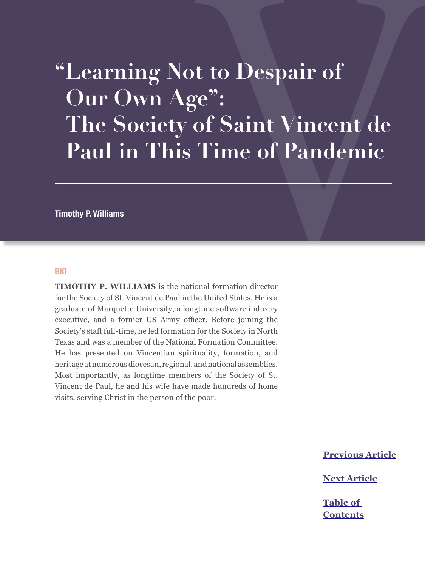# **"Learning Not to Despair of Our Own Age": The Society of Saint Vincent de Paul in This Time of Pandemic**

**Timothy P. Williams**

#### **BIO**

**TIMOTHY P. WILLIAMS** is the national formation director for the Society of St. Vincent de Paul in the United States. He is a graduate of Marquette University, a longtime software industry executive, and a former US Army officer. Before joining the Society's staff full-time, he led formation for the Society in North Texas and was a member of the National Formation Committee. He has presented on Vincentian spirituality, formation, and heritage at numerous diocesan, regional, and national assemblies. Most importantly, as longtime members of the Society of St. Vincent de Paul, he and his wife have made hundreds of home visits, serving Christ in the person of the poor.

**[Previous Article](#page--1-0)**

**[Next Article](#page--1-0)**

**[Table of](#page--1-0)  [Contents](#page--1-0)**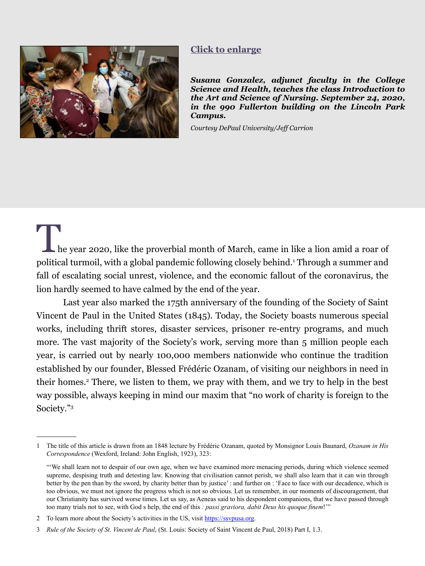<span id="page-2-0"></span>

#### **[Click to enlarge](#page-8-0)**

*Susana Gonzalez, adjunct faculty in the College Science and Health, teaches the class Introduction to the Art and Science of Nursing. September 24, 2020, in the 990 Fullerton building on the Lincoln Park Campus.* 

*Courtesy DePaul University/Jeff Carrion*

The year 2020, like the proverbial month of March, came in like a lion amid a roar of political turmoil, with a global pandemic following closely behind.1 Through a summer and fall of escalating social unrest, violence, and the economic fallout of the coronavirus, the lion hardly seemed to have calmed by the end of the year.

Last year also marked the 175th anniversary of the founding of the Society of Saint Vincent de Paul in the United States (1845). Today, the Society boasts numerous special works, including thrift stores, disaster services, prisoner re-entry programs, and much more. The vast majority of the Society's work, serving more than 5 million people each year, is carried out by nearly 100,000 members nationwide who continue the tradition established by our founder, Blessed Frédéric Ozanam, of visiting our neighbors in need in their homes.<sup>2</sup> There, we listen to them, we pray with them, and we try to help in the best way possible, always keeping in mind our maxim that "no work of charity is foreign to the Society."3

<sup>1</sup> The title of this article is drawn from an 1848 lecture by Frédéric Ozanam, quoted by Monsignor Louis Baunard, *Ozanam in His Correspondence* (Wexford, Ireland: John English, 1923), 323:

<sup>&</sup>quot;We shall learn not to despair of our own age, when we have examined more menacing periods, during which violence seemed supreme, despising truth and detesting law. Knowing that civilisation cannot perish, we shall also learn that it can win through better by the pen than by the sword, by charity better than by justice' : and further on : 'Face to face with our decadence, which is too obvious, we must not ignore the progress which is not so obvious. Let us remember, in our moments of discouragement, that our Christianity has survived worse times. Let us say, as Aeneas said to his despondent companions, that we have passed through too many trials not to see, with God s help, the end of this *: passi graviora, dabit Deus his quoque finem*!'"

<sup>2</sup> To learn more about the Society's activities in the US, visit <https://ssvpusa.org>.

<sup>3</sup> *Rule of the Society of St. Vincent de Paul*, (St. Louis: Society of Saint Vincent de Paul, 2018) Part I, 1.3.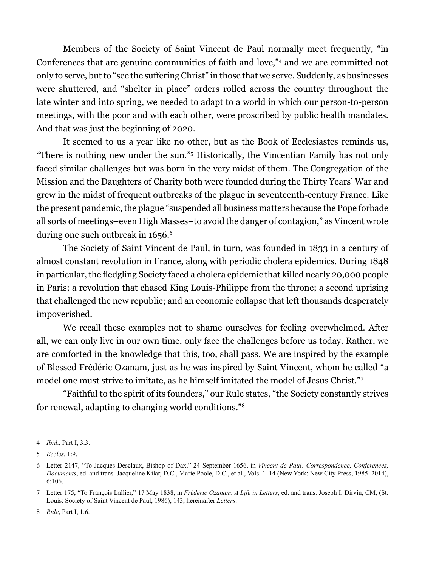Members of the Society of Saint Vincent de Paul normally meet frequently, "in Conferences that are genuine communities of faith and love,"4 and we are committed not only to serve, but to "see the suffering Christ" in those that we serve. Suddenly, as businesses were shuttered, and "shelter in place" orders rolled across the country throughout the late winter and into spring, we needed to adapt to a world in which our person-to-person meetings, with the poor and with each other, were proscribed by public health mandates. And that was just the beginning of 2020.

It seemed to us a year like no other, but as the Book of Ecclesiastes reminds us, "There is nothing new under the sun."5 Historically, the Vincentian Family has not only faced similar challenges but was born in the very midst of them. The Congregation of the Mission and the Daughters of Charity both were founded during the Thirty Years' War and grew in the midst of frequent outbreaks of the plague in seventeenth-century France. Like the present pandemic, the plague "suspended all business matters because the Pope forbade all sorts of meetings–even High Masses–to avoid the danger of contagion," as Vincent wrote during one such outbreak in 1656.<sup>6</sup>

The Society of Saint Vincent de Paul, in turn, was founded in 1833 in a century of almost constant revolution in France, along with periodic cholera epidemics. During 1848 in particular, the fledgling Society faced a cholera epidemic that killed nearly 20,000 people in Paris; a revolution that chased King Louis-Philippe from the throne; a second uprising that challenged the new republic; and an economic collapse that left thousands desperately impoverished.

We recall these examples not to shame ourselves for feeling overwhelmed. After all, we can only live in our own time, only face the challenges before us today. Rather, we are comforted in the knowledge that this, too, shall pass. We are inspired by the example of Blessed Frédéric Ozanam, just as he was inspired by Saint Vincent, whom he called "a model one must strive to imitate, as he himself imitated the model of Jesus Christ."7

"Faithful to the spirit of its founders," our Rule states, "the Society constantly strives for renewal, adapting to changing world conditions."8

<sup>4</sup> *Ibid*., Part I, 3.3.

<sup>5</sup> *Eccles.* 1:9.

<sup>6</sup> Letter 2147, "To Jacques Desclaux, Bishop of Dax," 24 September 1656, in *Vincent de Paul: Correspondence, Conferences, Documents*, ed. and trans. Jacqueline Kilar, D.C., Marie Poole, D.C., et al., Vols. 1–14 (New York: New City Press, 1985–2014), 6:106.

<sup>7</sup> Letter 175, "To François Lallier," 17 May 1838, in *Frédéric Ozanam, A Life in Letters*, ed. and trans. Joseph I. Dirvin, CM, (St. Louis: Society of Saint Vincent de Paul, 1986), 143, hereinafter *Letters*.

<sup>8</sup> *Rule*, Part I, 1.6.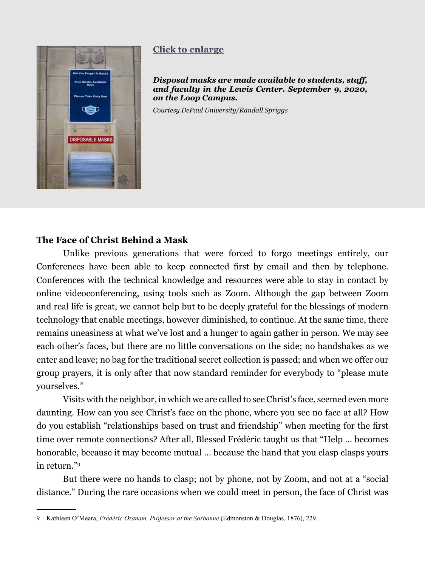<span id="page-4-0"></span>

# **[Click to enlarge](#page-9-0)**

*Disposal masks are made available to students, staff, and faculty in the Lewis Center. September 9, 2020, on the Loop Campus.* 

*Courtesy DePaul University/Randall Spriggs*

### **The Face of Christ Behind a Mask**

Unlike previous generations that were forced to forgo meetings entirely, our Conferences have been able to keep connected first by email and then by telephone. Conferences with the technical knowledge and resources were able to stay in contact by online videoconferencing, using tools such as Zoom. Although the gap between Zoom and real life is great, we cannot help but to be deeply grateful for the blessings of modern technology that enable meetings, however diminished, to continue. At the same time, there remains uneasiness at what we've lost and a hunger to again gather in person. We may see each other's faces, but there are no little conversations on the side; no handshakes as we enter and leave; no bag for the traditional secret collection is passed; and when we offer our group prayers, it is only after that now standard reminder for everybody to "please mute yourselves."

Visits with the neighbor, in which we are called to see Christ's face, seemed even more daunting. How can you see Christ's face on the phone, where you see no face at all? How do you establish "relationships based on trust and friendship" when meeting for the first time over remote connections? After all, Blessed Frédéric taught us that "Help … becomes honorable, because it may become mutual … because the hand that you clasp clasps yours in return."9

But there were no hands to clasp; not by phone, not by Zoom, and not at a "social distance." During the rare occasions when we could meet in person, the face of Christ was

<sup>9</sup> Kathleen O'Meara, *Frédéric Ozanam, Professor at the Sorbonne* (Edmonston & Douglas, 1876), 229.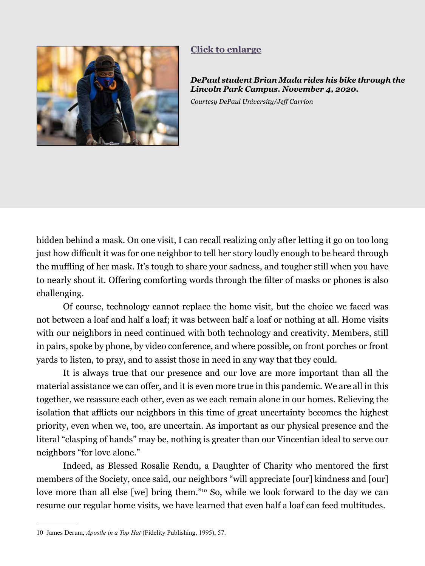<span id="page-5-0"></span>

# **[Click to enlarge](#page-10-0)**

*DePaul student Brian Mada rides his bike through the Lincoln Park Campus. November 4, 2020.* 

*Courtesy DePaul University/Jeff Carrion*

hidden behind a mask. On one visit, I can recall realizing only after letting it go on too long just how difficult it was for one neighbor to tell her story loudly enough to be heard through the muffling of her mask. It's tough to share your sadness, and tougher still when you have to nearly shout it. Offering comforting words through the filter of masks or phones is also challenging.

Of course, technology cannot replace the home visit, but the choice we faced was not between a loaf and half a loaf; it was between half a loaf or nothing at all. Home visits with our neighbors in need continued with both technology and creativity. Members, still in pairs, spoke by phone, by video conference, and where possible, on front porches or front yards to listen, to pray, and to assist those in need in any way that they could.

It is always true that our presence and our love are more important than all the material assistance we can offer, and it is even more true in this pandemic. We are all in this together, we reassure each other, even as we each remain alone in our homes. Relieving the isolation that afflicts our neighbors in this time of great uncertainty becomes the highest priority, even when we, too, are uncertain. As important as our physical presence and the literal "clasping of hands" may be, nothing is greater than our Vincentian ideal to serve our neighbors "for love alone."

Indeed, as Blessed Rosalie Rendu, a Daughter of Charity who mentored the first members of the Society, once said, our neighbors "will appreciate [our] kindness and [our] love more than all else [we] bring them."10 So, while we look forward to the day we can resume our regular home visits, we have learned that even half a loaf can feed multitudes.

<sup>10</sup> James Derum, *Apostle in a Top Hat* (Fidelity Publishing, 1995), 57.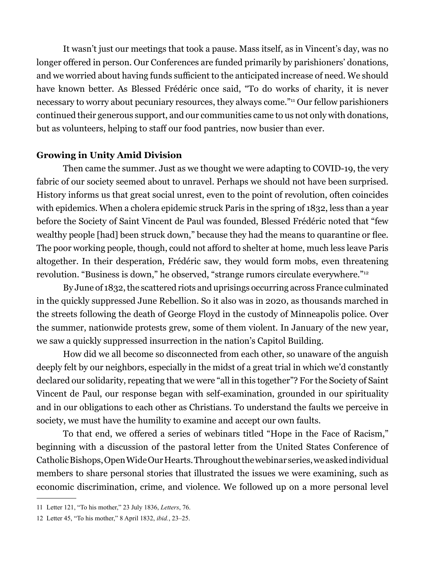It wasn't just our meetings that took a pause. Mass itself, as in Vincent's day, was no longer offered in person. Our Conferences are funded primarily by parishioners' donations, and we worried about having funds sufficient to the anticipated increase of need. We should have known better. As Blessed Frédéric once said, "To do works of charity, it is never necessary to worry about pecuniary resources, they always come."11 Our fellow parishioners continued their generous support, and our communities came to us not only with donations, but as volunteers, helping to staff our food pantries, now busier than ever.

#### **Growing in Unity Amid Division**

Then came the summer. Just as we thought we were adapting to COVID-19, the very fabric of our society seemed about to unravel. Perhaps we should not have been surprised. History informs us that great social unrest, even to the point of revolution, often coincides with epidemics. When a cholera epidemic struck Paris in the spring of 1832, less than a year before the Society of Saint Vincent de Paul was founded, Blessed Frédéric noted that "few wealthy people [had] been struck down," because they had the means to quarantine or flee. The poor working people, though, could not afford to shelter at home, much less leave Paris altogether. In their desperation, Frédéric saw, they would form mobs, even threatening revolution. "Business is down," he observed, "strange rumors circulate everywhere."12

By June of 1832, the scattered riots and uprisings occurring across France culminated in the quickly suppressed June Rebellion. So it also was in 2020, as thousands marched in the streets following the death of George Floyd in the custody of Minneapolis police. Over the summer, nationwide protests grew, some of them violent. In January of the new year, we saw a quickly suppressed insurrection in the nation's Capitol Building.

How did we all become so disconnected from each other, so unaware of the anguish deeply felt by our neighbors, especially in the midst of a great trial in which we'd constantly declared our solidarity, repeating that we were "all in this together"? For the Society of Saint Vincent de Paul, our response began with self-examination, grounded in our spirituality and in our obligations to each other as Christians. To understand the faults we perceive in society, we must have the humility to examine and accept our own faults.

To that end, we offered a series of webinars titled "Hope in the Face of Racism," beginning with a discussion of the pastoral letter from the United States Conference of Catholic Bishops, Open Wide Our Hearts. Throughout the webinar series, we asked individual members to share personal stories that illustrated the issues we were examining, such as economic discrimination, crime, and violence. We followed up on a more personal level

<sup>11</sup> Letter 121, "To his mother," 23 July 1836, *Letters*, 76.

<sup>12</sup> Letter 45, "To his mother," 8 April 1832, *ibid.*, 23–25.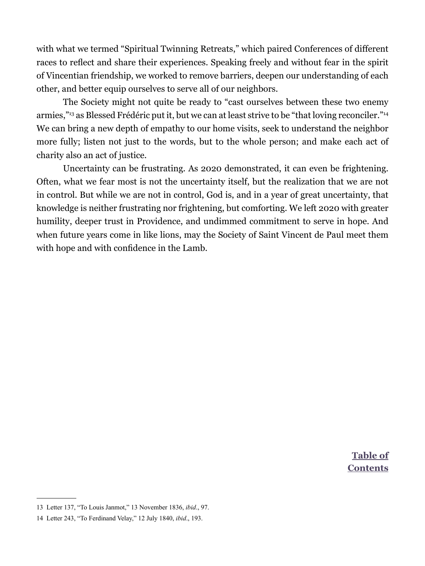with what we termed "Spiritual Twinning Retreats," which paired Conferences of different races to reflect and share their experiences. Speaking freely and without fear in the spirit of Vincentian friendship, we worked to remove barriers, deepen our understanding of each other, and better equip ourselves to serve all of our neighbors.

The Society might not quite be ready to "cast ourselves between these two enemy armies,"<sup>13</sup> as Blessed Frédéric put it, but we can at least strive to be "that loving reconciler."<sup>14</sup> We can bring a new depth of empathy to our home visits, seek to understand the neighbor more fully; listen not just to the words, but to the whole person; and make each act of charity also an act of justice.

Uncertainty can be frustrating. As 2020 demonstrated, it can even be frightening. Often, what we fear most is not the uncertainty itself, but the realization that we are not in control. But while we are not in control, God is, and in a year of great uncertainty, that knowledge is neither frustrating nor frightening, but comforting. We left 2020 with greater humility, deeper trust in Providence, and undimmed commitment to serve in hope. And when future years come in like lions, may the Society of Saint Vincent de Paul meet them with hope and with confidence in the Lamb.

> **Table of [Contents](#page--1-0)**

<sup>13</sup> Letter 137, "To Louis Janmot," 13 November 1836, *ibid*., 97.

<sup>14</sup> Letter 243, "To Ferdinand Velay," 12 July 1840, *ibid*., 193.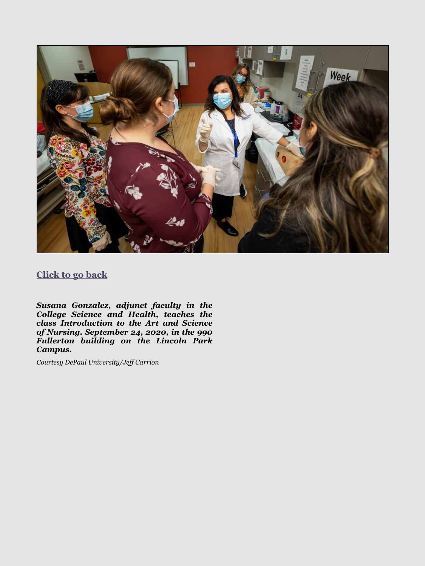<span id="page-8-0"></span>

# **[Click to go back](#page-2-0)**

*Susana Gonzalez, adjunct faculty in the College Science and Health, teaches the class Introduction to the Art and Science of Nursing. September 24, 2020, in the 990 Fullerton building on the Lincoln Park Campus.* 

*Courtesy DePaul University/Jeff Carrion*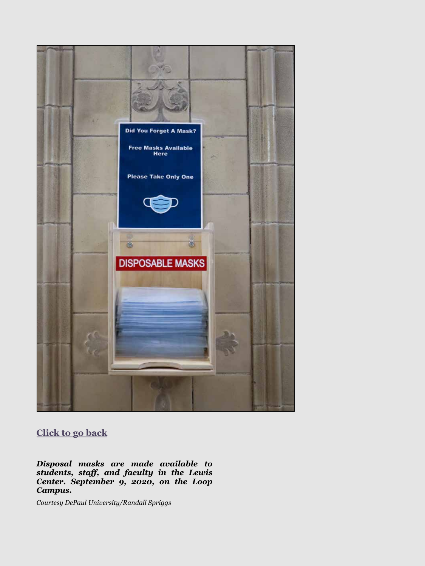<span id="page-9-0"></span>

# **[Click to go back](#page-4-0)**

*Disposal masks are made available to students, staff, and faculty in the Lewis Center. September 9, 2020, on the Loop Campus.* 

*Courtesy DePaul University/Randall Spriggs*